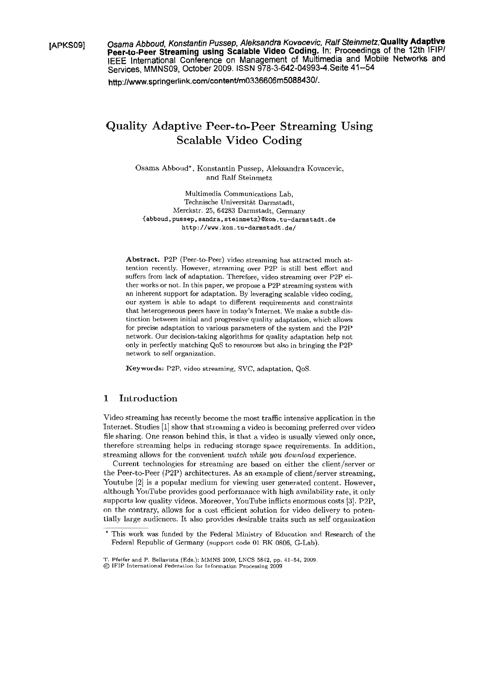**[APKSO9] Osama Abboud, Konstantin Pussep, Aleksandra Kovacevic, Ralf Steinrnetz;Quality Adaptive Peer-to-Peer Streaming using Scalable Video Coding. In: Proceedings** of **the 12th lFlPl IEEE International Conference on Management of Multimedia and Mobile Networks and Services, MMNSO9, October 2009. ISSN 978-3-642-04993-4.Seite 41--54** 

**http:l/www.springerlink.com/content/m0336606m5088430/.** 

## Quality Adaptive Peer-to-Peer Streaming Using Scalable Video Coding

Osama Abboud\*, Konstantin Pussep, Aleksandra Kovacevic, and Ralf Steinmetz

Multimedia Communications Lab, Technische Universität Darmstadt, Merckstr. 25, 64283 Darmstadt, Germany **~abboud,pussep,sandra,steinmetz)Qkom.tu-darmstadt.de http://www.korn.tu-darmstadt.de/** 

Abstract. P2P (Peer-to-Peer) video streaming has attracted much attention recently. However, streaming over P2P is still best effort and suffers from lack of adaptation. Therefore, video streaming over P2P either works or not. In this paper, we propose a P2P streaming system with an inherent support for adaptation. By leveraging scalable video coding, our system is able to adapt to different requirements and constraints that heterogeneous peers have in today's Internet. We make a subtle distinction between initial and progressive quality adaptation, which allows for precise adaptation to various parameters of the system and the P2P network. Our decision-taking algorithms for quality adaptation help not only in perfectly matching QoS to resources but also in bringing the P2P network to self organization.

**Keywords:** P2P, video streaming, SVC, adaptation, QoS.

## 1 Introduction

Video streaming has recently becorne the most traffic intensive application in the Internet. Studies [I] show that streaming a video is becoming preferred over video file sharing. One reason behind this, is that a video is usually viewed only once, therefore streaming helps in reducing Storage space requirements. In addition, streaming allows for the convenient *watch while you download* experience.

Current technologies for streaming are based on either the client/server or the Peer-to-Peer (P2P) architectures. As an example of client/server streaming, Youtube [2] is a popular medium for viewing user generated content. However, although YouTube provides good performance with high availability rate, it only supports low quality videos. Moreover, YouTube inflicts enormous costs [3]. P2P, on the contrary, allows for a cost efficient solution for video delivery to potentially large audiences. It also provides desirable traits such as self organization

This work was funded by the Federal Ministry of Education and Research of the Federal Republic of Germany (support code 01 BK 0806, G-Lab).

T. Pfeifer and P. Bellavista (Eds.): MMNS 2009, LNCS 5842, **pp.** 41-54, 2009.

<sup>@</sup> IFlP International Federation for Information Processing 2009